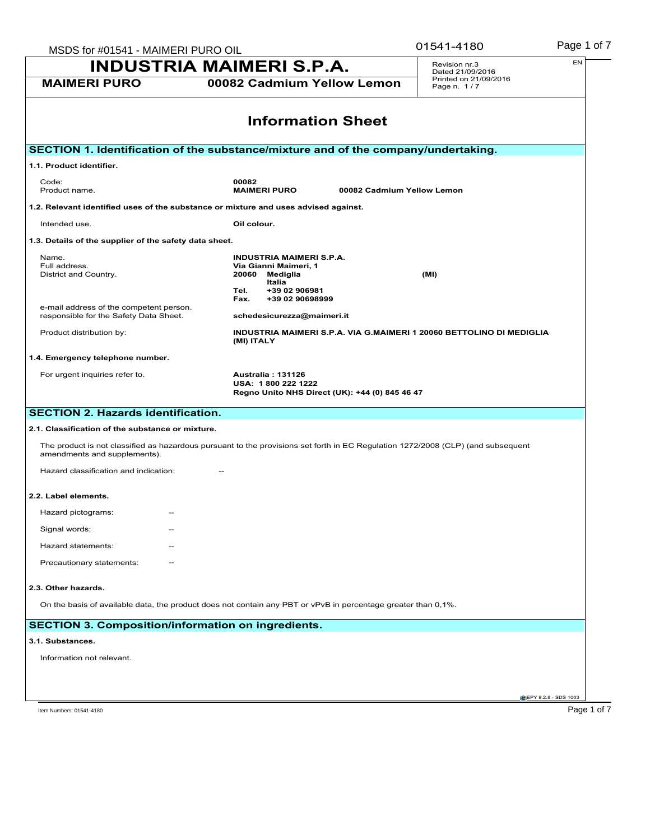| MSDS for #01541 - MAIMERI PURO OIL                                                                                                                               | 01541-4180                                     | Page 1 of 7                                                          |                                      |                              |  |
|------------------------------------------------------------------------------------------------------------------------------------------------------------------|------------------------------------------------|----------------------------------------------------------------------|--------------------------------------|------------------------------|--|
|                                                                                                                                                                  | <b>INDUSTRIA MAIMERI S.P.A.</b>                |                                                                      | Revision nr.3<br>Dated 21/09/2016    | EN                           |  |
| <b>MAIMERI PURO</b>                                                                                                                                              |                                                | 00082 Cadmium Yellow Lemon                                           | Printed on 21/09/2016<br>Page n. 1/7 |                              |  |
|                                                                                                                                                                  |                                                | <b>Information Sheet</b>                                             |                                      |                              |  |
| SECTION 1. Identification of the substance/mixture and of the company/undertaking.                                                                               |                                                |                                                                      |                                      |                              |  |
| 1.1. Product identifier.                                                                                                                                         |                                                |                                                                      |                                      |                              |  |
| Code:<br>Product name.                                                                                                                                           | 00082<br><b>MAIMERI PURO</b>                   | 00082 Cadmium Yellow Lemon                                           |                                      |                              |  |
| 1.2. Relevant identified uses of the substance or mixture and uses advised against.                                                                              |                                                |                                                                      |                                      |                              |  |
| Intended use.                                                                                                                                                    | Oil colour.                                    |                                                                      |                                      |                              |  |
| 1.3. Details of the supplier of the safety data sheet.                                                                                                           |                                                |                                                                      |                                      |                              |  |
| Name.                                                                                                                                                            | <b>INDUSTRIA MAIMERI S.P.A.</b>                |                                                                      |                                      |                              |  |
| Full address.<br>District and Country.                                                                                                                           | Via Gianni Maimeri, 1<br>20060<br>Mediglia     |                                                                      | (MI)                                 |                              |  |
|                                                                                                                                                                  | Italia<br>Tel.                                 | +39 02 906981                                                        |                                      |                              |  |
| e-mail address of the competent person.                                                                                                                          | Fax.                                           | +39 02 90698999                                                      |                                      |                              |  |
| responsible for the Safety Data Sheet.                                                                                                                           | schedesicurezza@maimeri.it                     |                                                                      |                                      |                              |  |
| Product distribution by:                                                                                                                                         | (MI) ITALY                                     | INDUSTRIA MAIMERI S.P.A. VIA G.MAIMERI 1 20060 BETTOLINO DI MEDIGLIA |                                      |                              |  |
| 1.4. Emergency telephone number.                                                                                                                                 |                                                |                                                                      |                                      |                              |  |
| For urgent inquiries refer to.                                                                                                                                   | <b>Australia: 131126</b><br>USA: 1800 222 1222 |                                                                      |                                      |                              |  |
|                                                                                                                                                                  |                                                | Regno Unito NHS Direct (UK): +44 (0) 845 46 47                       |                                      |                              |  |
| <b>SECTION 2. Hazards identification.</b>                                                                                                                        |                                                |                                                                      |                                      |                              |  |
| 2.1. Classification of the substance or mixture.                                                                                                                 |                                                |                                                                      |                                      |                              |  |
| The product is not classified as hazardous pursuant to the provisions set forth in EC Regulation 1272/2008 (CLP) (and subsequent<br>amendments and supplements). |                                                |                                                                      |                                      |                              |  |
| Hazard classification and indication:                                                                                                                            |                                                |                                                                      |                                      |                              |  |
| 2.2. Label elements.                                                                                                                                             |                                                |                                                                      |                                      |                              |  |
| Hazard pictograms:<br>$\overline{\phantom{m}}$                                                                                                                   |                                                |                                                                      |                                      |                              |  |
| Signal words:                                                                                                                                                    |                                                |                                                                      |                                      |                              |  |
| Hazard statements:                                                                                                                                               |                                                |                                                                      |                                      |                              |  |
| Precautionary statements:                                                                                                                                        |                                                |                                                                      |                                      |                              |  |
| 2.3. Other hazards.                                                                                                                                              |                                                |                                                                      |                                      |                              |  |
| On the basis of available data, the product does not contain any PBT or vPvB in percentage greater than 0,1%.                                                    |                                                |                                                                      |                                      |                              |  |
| <b>SECTION 3. Composition/information on ingredients.</b>                                                                                                        |                                                |                                                                      |                                      |                              |  |
| 3.1. Substances.                                                                                                                                                 |                                                |                                                                      |                                      |                              |  |
| Information not relevant.                                                                                                                                        |                                                |                                                                      |                                      |                              |  |
|                                                                                                                                                                  |                                                |                                                                      |                                      |                              |  |
|                                                                                                                                                                  |                                                |                                                                      |                                      | <b>CEPY 9.2.8 - SDS 1003</b> |  |
| Item Numbers: 01541-4180                                                                                                                                         |                                                |                                                                      |                                      | Page 1 of 7                  |  |

01541-4180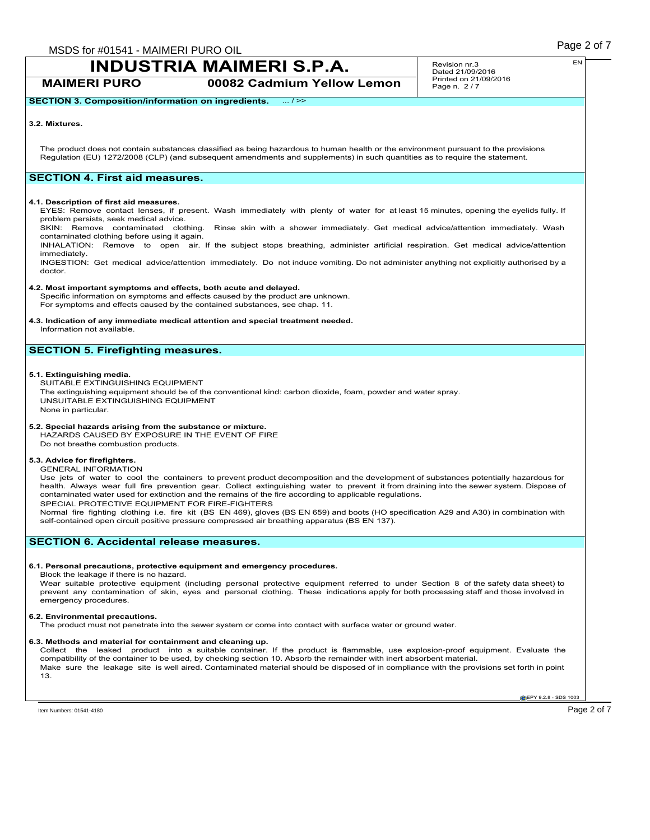**MAIMERI PURO 00082 Cadmium Yellow Lemon**

Revision nr.3 Dated 21/09/2016 Printed on 21/09/2016 Page n. 2/7

### **SECTION 3. Composition/information on ingredients.** ... / >>

#### **3.2. Mixtures.**

The product does not contain substances classified as being hazardous to human health or the environment pursuant to the provisions Regulation (EU) 1272/2008 (CLP) (and subsequent amendments and supplements) in such quantities as to require the statement.

## **SECTION 4. First aid measures.**

#### **4.1. Description of first aid measures.**

EYES: Remove contact lenses, if present. Wash immediately with plenty of water for at least 15 minutes, opening the eyelids fully. If problem persists, seek medical advice.

SKIN: Remove contaminated clothing. Rinse skin with a shower immediately. Get medical advice/attention immediately. Wash contaminated clothing before using it again.

INHALATION: Remove to open air. If the subject stops breathing, administer artificial respiration. Get medical advice/attention immediately.

INGESTION: Get medical advice/attention immediately. Do not induce vomiting. Do not administer anything not explicitly authorised by a doctor.

#### **4.2. Most important symptoms and effects, both acute and delayed.**

Specific information on symptoms and effects caused by the product are unknown. For symptoms and effects caused by the contained substances, see chap. 11.

## **4.3. Indication of any immediate medical attention and special treatment needed.**

Information not available.

## **SECTION 5. Firefighting measures.**

#### **5.1. Extinguishing media.**

SUITABLE EXTINGUISHING EQUIPMENT The extinguishing equipment should be of the conventional kind: carbon dioxide, foam, powder and water spray. UNSUITABLE EXTINGUISHING EQUIPMENT None in particular.

## **5.2. Special hazards arising from the substance or mixture.**

HAZARDS CAUSED BY EXPOSURE IN THE EVENT OF FIRE Do not breathe combustion products.

#### **5.3. Advice for firefighters.**

GENERAL INFORMATION

Use jets of water to cool the containers to prevent product decomposition and the development of substances potentially hazardous for health. Always wear full fire prevention gear. Collect extinguishing water to prevent it from draining into the sewer system. Dispose of contaminated water used for extinction and the remains of the fire according to applicable regulations. SPECIAL PROTECTIVE EQUIPMENT FOR FIRE-FIGHTERS

Normal fire fighting clothing i.e. fire kit (BS EN 469), gloves (BS EN 659) and boots (HO specification A29 and A30) in combination with self-contained open circuit positive pressure compressed air breathing apparatus (BS EN 137).

## **SECTION 6. Accidental release measures.**

#### **6.1. Personal precautions, protective equipment and emergency procedures.**

Block the leakage if there is no hazard.

Wear suitable protective equipment (including personal protective equipment referred to under Section 8 of the safety data sheet) to<br>prevent any contamination of skin, eyes and personal clothing. These indications apply fo emergency procedures.

#### **6.2. Environmental precautions.**

The product must not penetrate into the sewer system or come into contact with surface water or ground water.

#### **6.3. Methods and material for containment and cleaning up.**

Collect the leaked product into a suitable container. If the product is flammable, use explosion-proof equipment. Evaluate the compatibility of the container to be used, by checking section 10. Absorb the remainder with inert absorbent material. Make sure the leakage site is well aired. Contaminated material should be disposed of in compliance with the provisions set forth in point 13.

**EPY 9.2.8 - SDS 1003**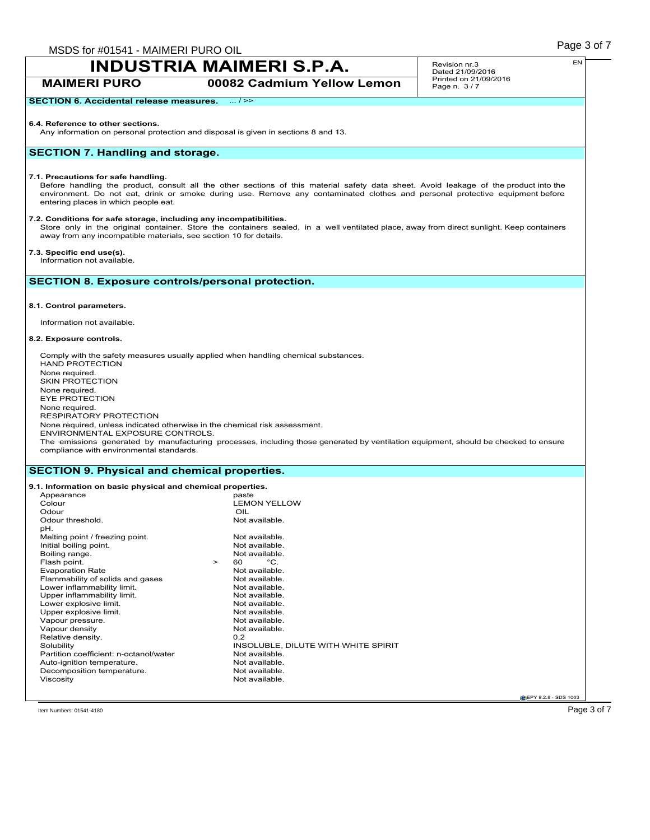**MAIMERI PURO 00082 Cadmium Yellow Lemon**

Revision nr.3 Dated 21/09/2016 Printed on 21/09/2016 Page n. 3/7

## **SECTION 6. Accidental release measures.** ... / >>

#### **6.4. Reference to other sections.**

Any information on personal protection and disposal is given in sections 8 and 13.

## **SECTION 7. Handling and storage.**

#### **7.1. Precautions for safe handling.**

Before handling the product, consult all the other sections of this material safety data sheet. Avoid leakage of the product into the environment. Do not eat, drink or smoke during use. Remove any contaminated clothes and personal protective equipment before entering places in which people eat.

#### **7.2. Conditions for safe storage, including any incompatibilities.**

Store only in the original container. Store the containers sealed, in a well ventilated place, away from direct sunlight. Keep containers away from any incompatible materials, see section 10 for details.

#### **7.3. Specific end use(s).**

Information not available.

## **SECTION 8. Exposure controls/personal protection.**

#### **8.1. Control parameters.**

Information not available.

#### **8.2. Exposure controls.**

Comply with the safety measures usually applied when handling chemical substances. HAND PROTECTION None required. SKIN PROTECTION None required. EYE PROTECTION None required. RESPIRATORY PROTECTION None required, unless indicated otherwise in the chemical risk assessment. ENVIRONMENTAL EXPOSURE CONTROLS. The emissions generated by manufacturing processes, including those generated by ventilation equipment, should be checked to ensure compliance with environmental standards.

### **SECTION 9. Physical and chemical properties.**

#### **9.1. Information on basic physical and chemical properties.** Appearance<br>Colour LEMON YELLOW<br>OIL Odour<br>
Odour threshold.<br>
Odour threshold. Odour threshold. pH. Melting point / freezing point.<br>
Initial boiling point.<br>
Not available. Initial boiling point.<br>
Boiling range.<br>
Not available. Boiling range. Not available to the set of the Not available to the Not available. Not available to the Not available. Not available to the Not available. Not available to the Not available. Not available to the Not availa Flash point.  $\begin{array}{ccc} 5 & 5 & 5 \\ 2 & 5 & 6 \\ 6 & 7 & 7 \end{array}$  Point Practice Rate Not available. Evaporation Rate<br>
Flammability of solids and gases<br>
Not available. Flammability of solids and gases Not available.<br>
Not available.<br>
Not available. Lower inflammability limit.<br>
Upper inflammability limit.<br>
Upper inflammability limit.<br>
Not available. Upper inflammability limit.<br>
Lower explosive limit.<br>
Not available. Lower explosive limit.<br>
Upper explosive limit.<br>
Upper explosive limit. Upper explosive limit.<br>
Vapour pressure.<br>
Vapour pressure.<br>
Not available. Vapour pressure.<br>
Vapour density<br>
Vapour density<br>
Vapour density Vapour density Not<br>
Relative density 0.2 Relative density.<br>Solubility INSOLUBLE, DILUTE WITH WHITE SPIRIT<br>Not available Partition coefficient: n-octanol/water Mot available.<br>Auto-ignition temperature Not available Auto-ignition temperature.<br>
Decomposition temperature<br>
Not available. Decomposition temperature. Viscosity **Not available.**

**CEPY 9.2.8 - SDS 1003** 

 $\Gamma$ ltem Numbers: 01541-4180  $\overline{\phantom{0}}$   $\overline{\phantom{0}}$   $\overline{\phantom{0}}$   $\overline{\phantom{0}}$   $\overline{\phantom{0}}$   $\overline{\phantom{0}}$   $\overline{\phantom{0}}$   $\overline{\phantom{0}}$   $\overline{\phantom{0}}$   $\overline{\phantom{0}}$   $\overline{\phantom{0}}$   $\overline{\phantom{0}}$   $\overline{\phantom{0}}$   $\overline{\phantom{0}}$   $\overline{\phantom{0}}$   $\overline{\phantom{0}}$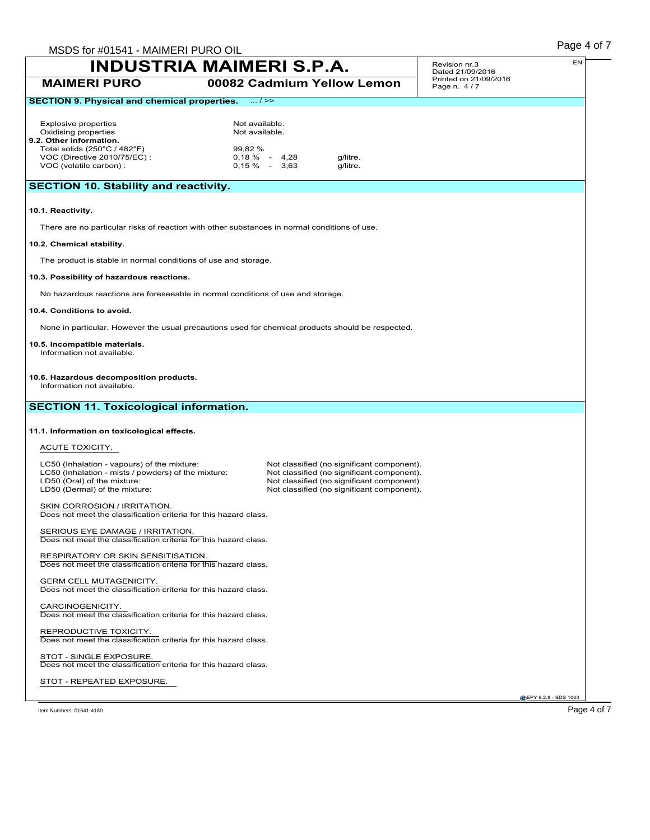|                                                                                                                                                                    | MSDS for #01541 - MAIMERI PURO OIL                         |                                                                                                                                                                                      |             | Page 4 of 7 |
|--------------------------------------------------------------------------------------------------------------------------------------------------------------------|------------------------------------------------------------|--------------------------------------------------------------------------------------------------------------------------------------------------------------------------------------|-------------|-------------|
| <b>INDUSTRIA MAIMERI S.P.A.</b>                                                                                                                                    | Revision nr.3<br>Dated 21/09/2016<br>Printed on 21/09/2016 | EN                                                                                                                                                                                   |             |             |
| <b>MAIMERI PURO</b>                                                                                                                                                |                                                            | 00082 Cadmium Yellow Lemon                                                                                                                                                           | Page n. 4/7 |             |
| <b>SECTION 9. Physical and chemical properties.</b>                                                                                                                | $\dots l \ge$                                              |                                                                                                                                                                                      |             |             |
| <b>Explosive properties</b><br>Oxidising properties<br>9.2. Other information.                                                                                     | Not available.<br>Not available.                           |                                                                                                                                                                                      |             |             |
| Total solids (250°C / 482°F)<br>VOC (Directive 2010/75/EC) :<br>VOC (volatile carbon) :                                                                            | 99,82 %<br>$0,18\% - 4,28$<br>$0,15\% - 3,63$              | g/litre.<br>g/litre.                                                                                                                                                                 |             |             |
| <b>SECTION 10. Stability and reactivity.</b>                                                                                                                       |                                                            |                                                                                                                                                                                      |             |             |
| 10.1. Reactivity.                                                                                                                                                  |                                                            |                                                                                                                                                                                      |             |             |
| There are no particular risks of reaction with other substances in normal conditions of use.                                                                       |                                                            |                                                                                                                                                                                      |             |             |
| 10.2. Chemical stability.                                                                                                                                          |                                                            |                                                                                                                                                                                      |             |             |
| The product is stable in normal conditions of use and storage.                                                                                                     |                                                            |                                                                                                                                                                                      |             |             |
| 10.3. Possibility of hazardous reactions.                                                                                                                          |                                                            |                                                                                                                                                                                      |             |             |
| No hazardous reactions are foreseeable in normal conditions of use and storage.                                                                                    |                                                            |                                                                                                                                                                                      |             |             |
| 10.4. Conditions to avoid.                                                                                                                                         |                                                            |                                                                                                                                                                                      |             |             |
| None in particular. However the usual precautions used for chemical products should be respected.                                                                  |                                                            |                                                                                                                                                                                      |             |             |
| 10.5. Incompatible materials.                                                                                                                                      |                                                            |                                                                                                                                                                                      |             |             |
| Information not available.                                                                                                                                         |                                                            |                                                                                                                                                                                      |             |             |
| 10.6. Hazardous decomposition products.<br>Information not available.                                                                                              |                                                            |                                                                                                                                                                                      |             |             |
| <b>SECTION 11. Toxicological information.</b>                                                                                                                      |                                                            |                                                                                                                                                                                      |             |             |
| 11.1. Information on toxicological effects.                                                                                                                        |                                                            |                                                                                                                                                                                      |             |             |
|                                                                                                                                                                    |                                                            |                                                                                                                                                                                      |             |             |
| ACUTE TOXICITY.                                                                                                                                                    |                                                            |                                                                                                                                                                                      |             |             |
| LC50 (Inhalation - vapours) of the mixture:<br>LC50 (Inhalation - mists / powders) of the mixture:<br>LD50 (Oral) of the mixture:<br>LD50 (Dermal) of the mixture: |                                                            | Not classified (no significant component).<br>Not classified (no significant component).<br>Not classified (no significant component).<br>Not classified (no significant component). |             |             |
| SKIN CORROSION / IRRITATION.<br>Does not meet the classification criteria for this hazard class.                                                                   |                                                            |                                                                                                                                                                                      |             |             |
| SERIOUS EYE DAMAGE / IRRITATION.<br>Does not meet the classification criteria for this hazard class.                                                               |                                                            |                                                                                                                                                                                      |             |             |
| RESPIRATORY OR SKIN SENSITISATION.<br>Does not meet the classification criteria for this hazard class.                                                             |                                                            |                                                                                                                                                                                      |             |             |
| <b>GERM CELL MUTAGENICITY.</b><br>Does not meet the classification criteria for this hazard class.                                                                 |                                                            |                                                                                                                                                                                      |             |             |
| CARCINOGENICITY.<br>Does not meet the classification criteria for this hazard class.                                                                               |                                                            |                                                                                                                                                                                      |             |             |
| REPRODUCTIVE TOXICITY.<br>Does not meet the classification criteria for this hazard class.                                                                         |                                                            |                                                                                                                                                                                      |             |             |
| STOT - SINGLE EXPOSURE.<br>Does not meet the classification criteria for this hazard class.                                                                        |                                                            |                                                                                                                                                                                      |             |             |
| STOT - REPEATED EXPOSURE.                                                                                                                                          |                                                            |                                                                                                                                                                                      |             |             |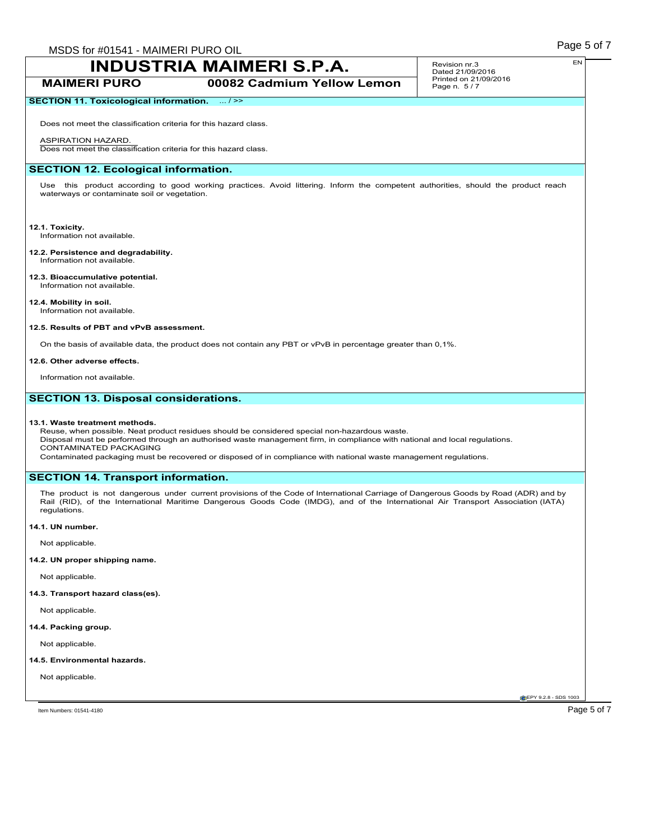## **MAIMERI PURO 00082 Cadmium Yellow Lemon**

#### Revision nr.3 Dated 21/09/2016 Printed on 21/09/2016 Page n. 5/7

## **SECTION 11. Toxicological information.** ... />>

Does not meet the classification criteria for this hazard class.

#### ASPIRATION HAZARD.

Does not meet the classification criteria for this hazard class.

## **SECTION 12. Ecological information.**

Use this product according to good working practices. Avoid littering. Inform the competent authorities, should the product reach waterways or contaminate soil or vegetation.

## **12.1. Toxicity.**

Information not available.

#### **12.2. Persistence and degradability.** Information not available.

**12.3. Bioaccumulative potential.** Information not available.

## **12.4. Mobility in soil.**

Information not available.

## **12.5. Results of PBT and vPvB assessment.**

On the basis of available data, the product does not contain any PBT or vPvB in percentage greater than 0,1%.

#### **12.6. Other adverse effects.**

Information not available.

## **SECTION 13. Disposal considerations.**

#### **13.1. Waste treatment methods.**

Reuse, when possible. Neat product residues should be considered special non-hazardous waste. Disposal must be performed through an authorised waste management firm, in compliance with national and local regulations. CONTAMINATED PACKAGING

Contaminated packaging must be recovered or disposed of in compliance with national waste management regulations.

## **SECTION 14. Transport information.**

The product is not dangerous under current provisions of the Code of International Carriage of Dangerous Goods by Road (ADR) and by Rail (RID), of the International Maritime Dangerous Goods Code (IMDG), and of the International Air Transport Association (IATA) regulations.

#### **14.1. UN number.**

Not applicable.

## **14.2. UN proper shipping name.**

Not applicable.

## **14.3. Transport hazard class(es).**

Not applicable.

#### **14.4. Packing group.**

Not applicable.

#### **14.5. Environmental hazards.**

Not applicable.

**CEPY 9.2.8 - SDS 1003**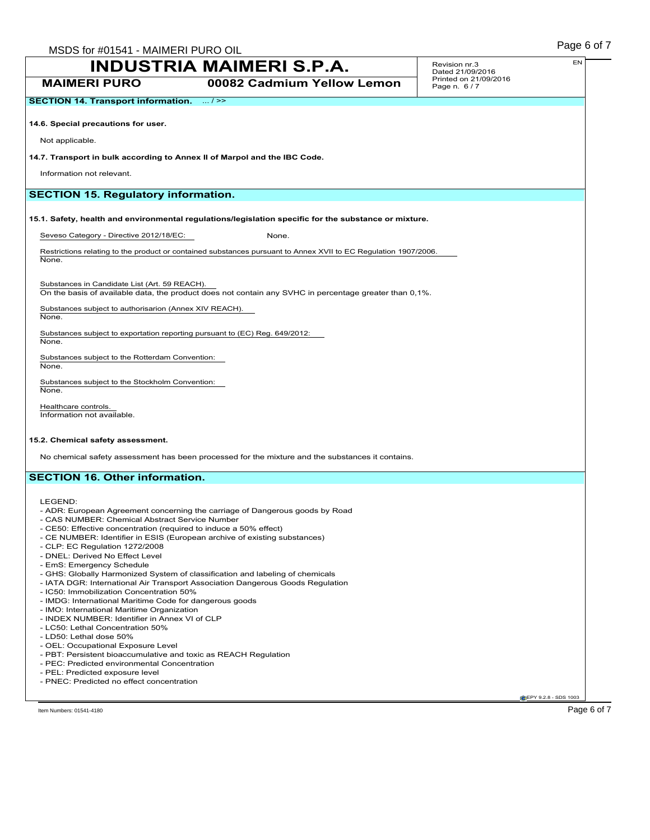**SECTION 14. Transport information.** ... />>

**MAIMERI PURO 00082 Cadmium Yellow Lemon**

#### **14.6. Special precautions for user.**

Not applicable.

#### **14.7. Transport in bulk according to Annex II of Marpol and the IBC Code.**

Information not relevant.

## **SECTION 15. Regulatory information.**

**15.1. Safety, health and environmental regulations/legislation specific for the substance or mixture.**

Seveso Category - Directive 2012/18/EC: None.

Restrictions relating to the product or contained substances pursuant to Annex XVII to EC Regulation 1907/2006. None.

Substances in Candidate List (Art. 59 REACH). On the basis of available data, the product does not contain any SVHC in percentage greater than 0,1%.

Substances subject to authorisarion (Annex XIV REACH).

None.

Substances subject to exportation reporting pursuant to (EC) Reg. 649/2012: None.

Substances subject to the Rotterdam Convention: None.

Substances subject to the Stockholm Convention: None.

Healthcare controls. Information not available.

#### **15.2. Chemical safety assessment.**

No chemical safety assessment has been processed for the mixture and the substances it contains.

## **SECTION 16. Other information.**

LEGEND:

- ADR: European Agreement concerning the carriage of Dangerous goods by Road
- CAS NUMBER: Chemical Abstract Service Number
- CE50: Effective concentration (required to induce a 50% effect)
- CE NUMBER: Identifier in ESIS (European archive of existing substances)
- CLP: EC Regulation 1272/2008
- DNEL: Derived No Effect Level
- EmS: Emergency Schedule
- GHS: Globally Harmonized System of classification and labeling of chemicals
- IATA DGR: International Air Transport Association Dangerous Goods Regulation
- IC50: Immobilization Concentration 50%
- IMDG: International Maritime Code for dangerous goods
- IMO: International Maritime Organization
- INDEX NUMBER: Identifier in Annex VI of CLP
- LC50: Lethal Concentration 50%
- LD50: Lethal dose 50%
- OEL: Occupational Exposure Level
- PBT: Persistent bioaccumulative and toxic as REACH Regulation
- PEC: Predicted environmental Concentration
- PEL: Predicted exposure level
- PNEC: Predicted no effect concentration

Item Numbers: 01541-4180 Page 6 of 7

**CEPY 9.2.8 - SDS 1003**